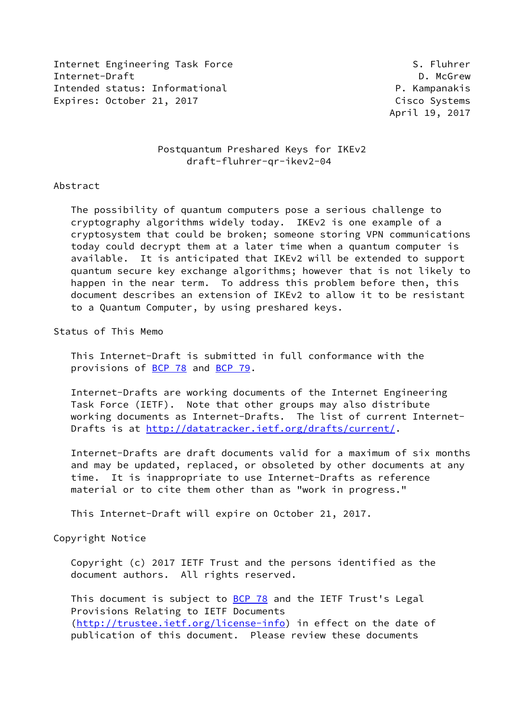Internet Engineering Task Force S. Fluhrer Internet-Draft **D. McGrew** Intended status: Informational example and the proponent p. Kampanakis Expires: October 21, 2017 **Cisco Systems** 

April 19, 2017

# Postquantum Preshared Keys for IKEv2 draft-fluhrer-qr-ikev2-04

## Abstract

 The possibility of quantum computers pose a serious challenge to cryptography algorithms widely today. IKEv2 is one example of a cryptosystem that could be broken; someone storing VPN communications today could decrypt them at a later time when a quantum computer is available. It is anticipated that IKEv2 will be extended to support quantum secure key exchange algorithms; however that is not likely to happen in the near term. To address this problem before then, this document describes an extension of IKEv2 to allow it to be resistant to a Quantum Computer, by using preshared keys.

Status of This Memo

 This Internet-Draft is submitted in full conformance with the provisions of [BCP 78](https://datatracker.ietf.org/doc/pdf/bcp78) and [BCP 79](https://datatracker.ietf.org/doc/pdf/bcp79).

 Internet-Drafts are working documents of the Internet Engineering Task Force (IETF). Note that other groups may also distribute working documents as Internet-Drafts. The list of current Internet- Drafts is at<http://datatracker.ietf.org/drafts/current/>.

 Internet-Drafts are draft documents valid for a maximum of six months and may be updated, replaced, or obsoleted by other documents at any time. It is inappropriate to use Internet-Drafts as reference material or to cite them other than as "work in progress."

This Internet-Draft will expire on October 21, 2017.

Copyright Notice

 Copyright (c) 2017 IETF Trust and the persons identified as the document authors. All rights reserved.

This document is subject to **[BCP 78](https://datatracker.ietf.org/doc/pdf/bcp78)** and the IETF Trust's Legal Provisions Relating to IETF Documents [\(http://trustee.ietf.org/license-info](http://trustee.ietf.org/license-info)) in effect on the date of publication of this document. Please review these documents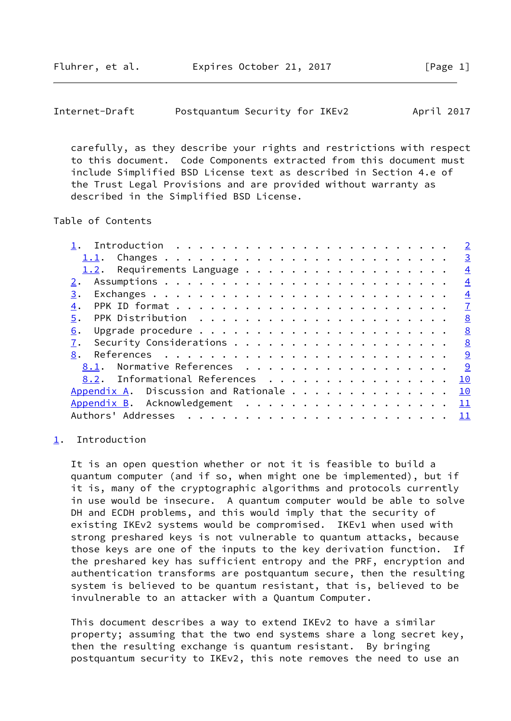Fluhrer, et al. Expires October 21, 2017 [Page 1]

```
Internet-Draft Postquantum Security for IKEv2 April 2017
```
 carefully, as they describe your rights and restrictions with respect to this document. Code Components extracted from this document must include Simplified BSD License text as described in Section 4.e of the Trust Legal Provisions and are provided without warranty as described in the Simplified BSD License.

Table of Contents

|                                |  |  |  | $\overline{2}$ |
|--------------------------------|--|--|--|----------------|
|                                |  |  |  | $\overline{3}$ |
|                                |  |  |  | $\overline{4}$ |
|                                |  |  |  | $\overline{4}$ |
| 3.                             |  |  |  | $\overline{4}$ |
| 4.                             |  |  |  | $\overline{1}$ |
| 5.                             |  |  |  | <u>8</u>       |
| 6.                             |  |  |  | 8              |
| 7.                             |  |  |  | 8              |
| 8.                             |  |  |  | <u>9</u>       |
| 8.1. Normative References      |  |  |  | <u>୍ର</u>      |
| 8.2. Informational References  |  |  |  | 10             |
|                                |  |  |  | 10             |
| Appendix B. Acknowledgement 11 |  |  |  |                |
|                                |  |  |  | $\frac{11}{1}$ |

## <span id="page-1-0"></span>[1](#page-1-0). Introduction

 It is an open question whether or not it is feasible to build a quantum computer (and if so, when might one be implemented), but if it is, many of the cryptographic algorithms and protocols currently in use would be insecure. A quantum computer would be able to solve DH and ECDH problems, and this would imply that the security of existing IKEv2 systems would be compromised. IKEv1 when used with strong preshared keys is not vulnerable to quantum attacks, because those keys are one of the inputs to the key derivation function. If the preshared key has sufficient entropy and the PRF, encryption and authentication transforms are postquantum secure, then the resulting system is believed to be quantum resistant, that is, believed to be invulnerable to an attacker with a Quantum Computer.

 This document describes a way to extend IKEv2 to have a similar property; assuming that the two end systems share a long secret key, then the resulting exchange is quantum resistant. By bringing postquantum security to IKEv2, this note removes the need to use an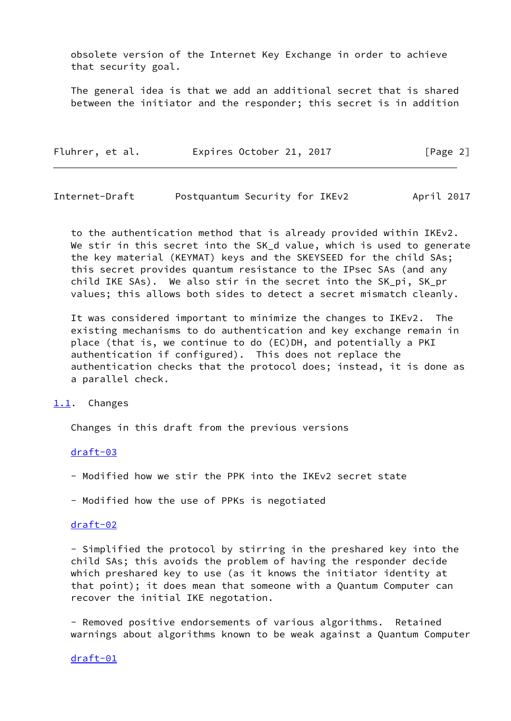obsolete version of the Internet Key Exchange in order to achieve that security goal.

 The general idea is that we add an additional secret that is shared between the initiator and the responder; this secret is in addition

| Fluhrer, et al. | Expires October 21, 2017 |  | [Page 2] |
|-----------------|--------------------------|--|----------|
|-----------------|--------------------------|--|----------|

<span id="page-2-1"></span>Internet-Draft Postquantum Security for IKEv2 April 2017

 to the authentication method that is already provided within IKEv2. We stir in this secret into the SK\_d value, which is used to generate the key material (KEYMAT) keys and the SKEYSEED for the child SAs; this secret provides quantum resistance to the IPsec SAs (and any child IKE SAs). We also stir in the secret into the SK\_pi, SK\_pr values; this allows both sides to detect a secret mismatch cleanly.

 It was considered important to minimize the changes to IKEv2. The existing mechanisms to do authentication and key exchange remain in place (that is, we continue to do (EC)DH, and potentially a PKI authentication if configured). This does not replace the authentication checks that the protocol does; instead, it is done as a parallel check.

#### <span id="page-2-0"></span>[1.1](#page-2-0). Changes

Changes in this draft from the previous versions

#### [draft-03](https://datatracker.ietf.org/doc/pdf/draft-03)

- Modified how we stir the PPK into the IKEv2 secret state
- Modified how the use of PPKs is negotiated

### [draft-02](https://datatracker.ietf.org/doc/pdf/draft-02)

 - Simplified the protocol by stirring in the preshared key into the child SAs; this avoids the problem of having the responder decide which preshared key to use (as it knows the initiator identity at that point); it does mean that someone with a Quantum Computer can recover the initial IKE negotation.

 - Removed positive endorsements of various algorithms. Retained warnings about algorithms known to be weak against a Quantum Computer

#### [draft-01](https://datatracker.ietf.org/doc/pdf/draft-01)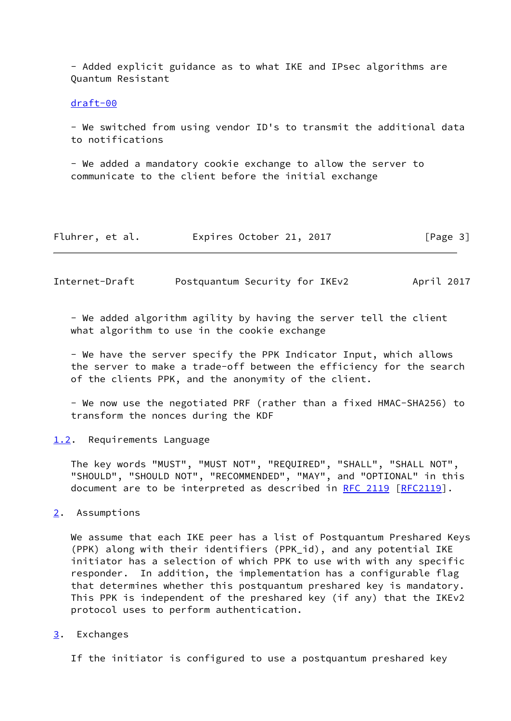- Added explicit guidance as to what IKE and IPsec algorithms are Quantum Resistant

#### [draft-00](https://datatracker.ietf.org/doc/pdf/draft-00)

 - We switched from using vendor ID's to transmit the additional data to notifications

 - We added a mandatory cookie exchange to allow the server to communicate to the client before the initial exchange

| Fluhrer, et al. |  | Expires October 21, 2017 | [Page 3] |
|-----------------|--|--------------------------|----------|
|-----------------|--|--------------------------|----------|

<span id="page-3-1"></span>Internet-Draft Postquantum Security for IKEv2 April 2017

 - We added algorithm agility by having the server tell the client what algorithm to use in the cookie exchange

 - We have the server specify the PPK Indicator Input, which allows the server to make a trade-off between the efficiency for the search of the clients PPK, and the anonymity of the client.

 - We now use the negotiated PRF (rather than a fixed HMAC-SHA256) to transform the nonces during the KDF

<span id="page-3-0"></span>[1.2](#page-3-0). Requirements Language

 The key words "MUST", "MUST NOT", "REQUIRED", "SHALL", "SHALL NOT", "SHOULD", "SHOULD NOT", "RECOMMENDED", "MAY", and "OPTIONAL" in this document are to be interpreted as described in [RFC 2119 \[RFC2119](https://datatracker.ietf.org/doc/pdf/rfc2119)].

# <span id="page-3-2"></span>[2](#page-3-2). Assumptions

 We assume that each IKE peer has a list of Postquantum Preshared Keys (PPK) along with their identifiers (PPK\_id), and any potential IKE initiator has a selection of which PPK to use with with any specific responder. In addition, the implementation has a configurable flag that determines whether this postquantum preshared key is mandatory. This PPK is independent of the preshared key (if any) that the IKEv2 protocol uses to perform authentication.

<span id="page-3-3"></span>[3](#page-3-3). Exchanges

If the initiator is configured to use a postquantum preshared key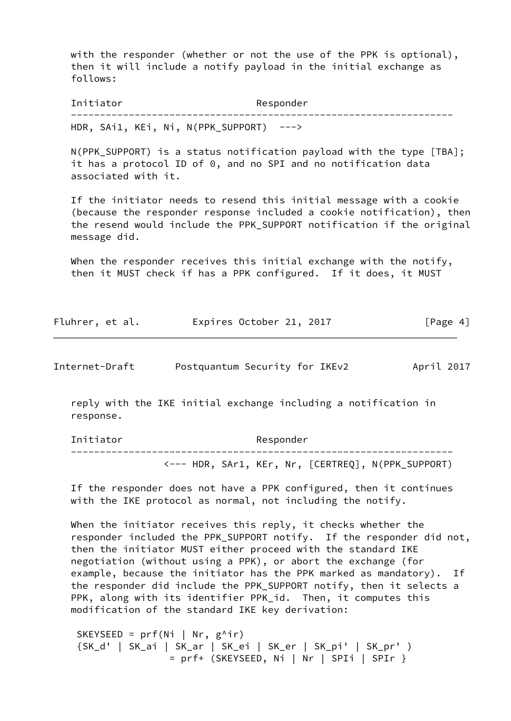with the responder (whether or not the use of the PPK is optional), then it will include a notify payload in the initial exchange as follows:

Initiator Responder ------------------------------------------------------------------ HDR, SAi1, KEi, Ni, N(PPK SUPPORT) --->

 N(PPK\_SUPPORT) is a status notification payload with the type [TBA]; it has a protocol ID of 0, and no SPI and no notification data associated with it.

 If the initiator needs to resend this initial message with a cookie (because the responder response included a cookie notification), then the resend would include the PPK\_SUPPORT notification if the original message did.

 When the responder receives this initial exchange with the notify, then it MUST check if has a PPK configured. If it does, it MUST

| Fluhrer, et al. | Expires October 21, 2017 |  | [Page 4] |
|-----------------|--------------------------|--|----------|
|-----------------|--------------------------|--|----------|

Internet-Draft Postquantum Security for IKEv2 April 2017

 reply with the IKE initial exchange including a notification in response.

Initiator Responder ------------------------------------------------------------------ <--- HDR, SAr1, KEr, Nr, [CERTREQ], N(PPK\_SUPPORT)

 If the responder does not have a PPK configured, then it continues with the IKE protocol as normal, not including the notify.

When the initiator receives this reply, it checks whether the responder included the PPK\_SUPPORT notify. If the responder did not, then the initiator MUST either proceed with the standard IKE negotiation (without using a PPK), or abort the exchange (for example, because the initiator has the PPK marked as mandatory). If the responder did include the PPK\_SUPPORT notify, then it selects a PPK, along with its identifier PPK id. Then, it computes this modification of the standard IKE key derivation:

SKEYSEED =  $prf(Ni | Nr, g^{\wedge}ir)$  {SK\_d' | SK\_ai | SK\_ar | SK\_ei | SK\_er | SK\_pi' | SK\_pr' ) = prf+ (SKEYSEED, Ni | Nr | SPIi | SPIr }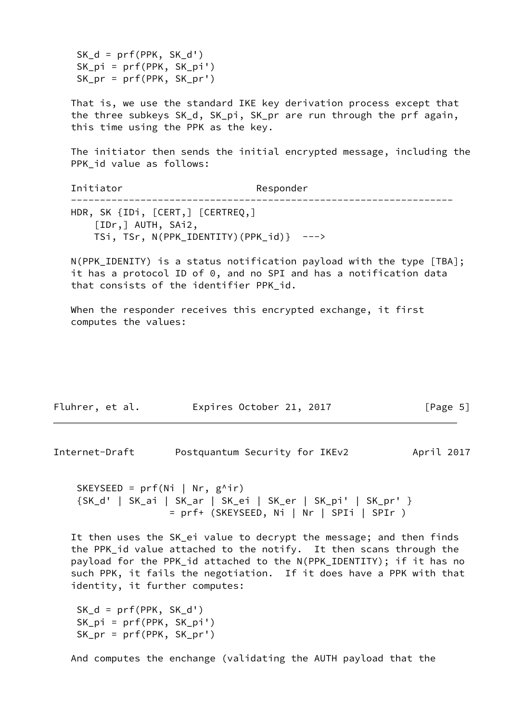$SK_d = prf(PPK, SK_d')$  SK\_pi = prf(PPK, SK\_pi') SK  $pr = prf(PPK, SKpr')$ 

 That is, we use the standard IKE key derivation process except that the three subkeys SK\_d, SK\_pi, SK\_pr are run through the prf again, this time using the PPK as the key.

 The initiator then sends the initial encrypted message, including the PPK\_id value as follows:

Initiator Responder ------------------------------------------------------------------ HDR, SK {IDi, [CERT,] [CERTREQ,] [IDr,] AUTH, SAi2, TSi, TSr, N(PPK\_IDENTITY)(PPK\_id)} --->

 N(PPK\_IDENITY) is a status notification payload with the type [TBA]; it has a protocol ID of 0, and no SPI and has a notification data that consists of the identifier PPK\_id.

 When the responder receives this encrypted exchange, it first computes the values:

| Fluhrer, et al. | Expires October 21, 2017 |  | [Page 5] |
|-----------------|--------------------------|--|----------|
|-----------------|--------------------------|--|----------|

Internet-Draft Postquantum Security for IKEv2 April 2017

```
SKEYSEED = prf(Ni | Nr, g^{\wedge}ir) {SK_d' | SK_ai | SK_ar | SK_ei | SK_er | SK_pi' | SK_pr' }
                  = prf+ (SKEYSEED, Ni | Nr | SPIi | SPIr )
```
 It then uses the SK\_ei value to decrypt the message; and then finds the PPK\_id value attached to the notify. It then scans through the payload for the PPK\_id attached to the N(PPK\_IDENTITY); if it has no such PPK, it fails the negotiation. If it does have a PPK with that identity, it further computes:

```
SK_d = prf(PPK, SK_d') SK_pi = prf(PPK, SK_pi')
 SK_pr = prf(PPK, SK_pr')
```
And computes the enchange (validating the AUTH payload that the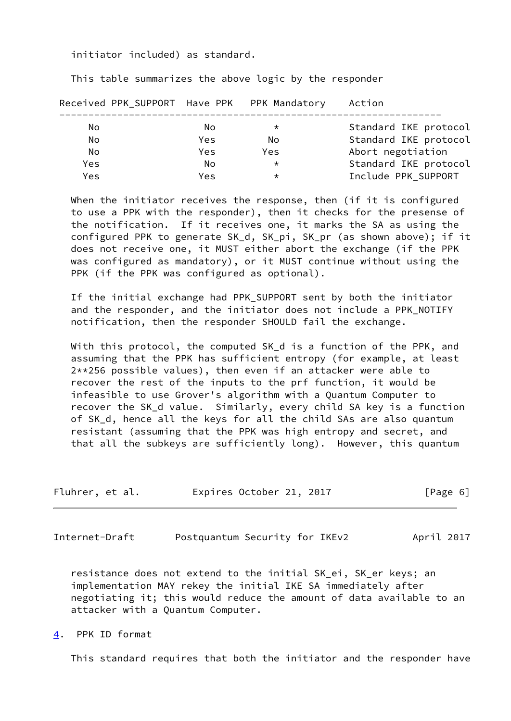initiator included) as standard.

This table summarizes the above logic by the responder

| Received PPK_SUPPORT Have PPK PPK Mandatory |            |         | Action                |
|---------------------------------------------|------------|---------|-----------------------|
| No                                          | No         | $\star$ | Standard IKE protocol |
| No                                          | <b>Yes</b> | No      | Standard IKE protocol |
| No                                          | Yes.       | Yes.    | Abort negotiation     |
| Yes                                         | No         | $\star$ | Standard IKE protocol |
| Yes                                         | <b>Yes</b> | $\star$ | Include PPK SUPPORT   |
|                                             |            |         |                       |

When the initiator receives the response, then (if it is configured to use a PPK with the responder), then it checks for the presense of the notification. If it receives one, it marks the SA as using the configured PPK to generate SK\_d, SK\_pi, SK\_pr (as shown above); if it does not receive one, it MUST either abort the exchange (if the PPK was configured as mandatory), or it MUST continue without using the PPK (if the PPK was configured as optional).

 If the initial exchange had PPK\_SUPPORT sent by both the initiator and the responder, and the initiator does not include a PPK\_NOTIFY notification, then the responder SHOULD fail the exchange.

 With this protocol, the computed SK\_d is a function of the PPK, and assuming that the PPK has sufficient entropy (for example, at least 2\*\*256 possible values), then even if an attacker were able to recover the rest of the inputs to the prf function, it would be infeasible to use Grover's algorithm with a Quantum Computer to recover the SK\_d value. Similarly, every child SA key is a function of SK\_d, hence all the keys for all the child SAs are also quantum resistant (assuming that the PPK was high entropy and secret, and that all the subkeys are sufficiently long). However, this quantum

| Fluhrer, et al. | Expires October 21, 2017 | [Page 6] |
|-----------------|--------------------------|----------|
|-----------------|--------------------------|----------|

<span id="page-6-1"></span>Internet-Draft Postquantum Security for IKEv2 April 2017

 resistance does not extend to the initial SK\_ei, SK\_er keys; an implementation MAY rekey the initial IKE SA immediately after negotiating it; this would reduce the amount of data available to an attacker with a Quantum Computer.

<span id="page-6-0"></span>[4](#page-6-0). PPK ID format

This standard requires that both the initiator and the responder have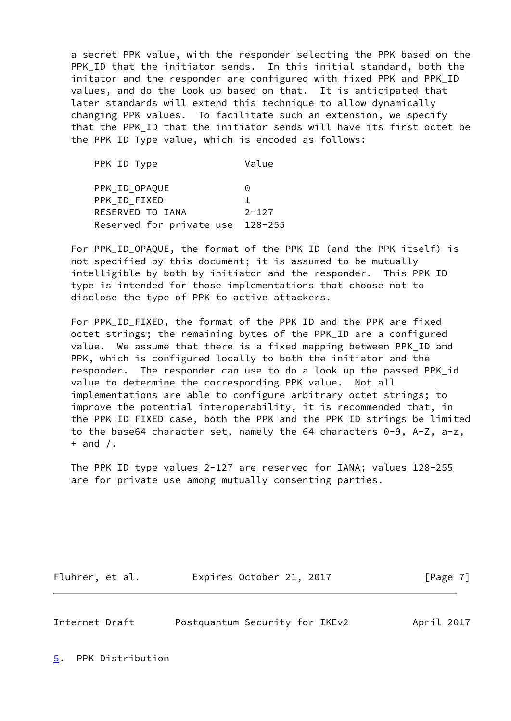a secret PPK value, with the responder selecting the PPK based on the PPK\_ID that the initiator sends. In this initial standard, both the initator and the responder are configured with fixed PPK and PPK\_ID values, and do the look up based on that. It is anticipated that later standards will extend this technique to allow dynamically changing PPK values. To facilitate such an extension, we specify that the PPK\_ID that the initiator sends will have its first octet be the PPK ID Type value, which is encoded as follows:

PPK ID Type Value PPK\_ID\_OPAQUE 0 PPK\_ID\_FIXED 1 RESERVED TO IANA 2-127 Reserved for private use 128-255

For PPK ID OPAQUE, the format of the PPK ID (and the PPK itself) is not specified by this document; it is assumed to be mutually intelligible by both by initiator and the responder. This PPK ID type is intended for those implementations that choose not to disclose the type of PPK to active attackers.

 For PPK\_ID\_FIXED, the format of the PPK ID and the PPK are fixed octet strings; the remaining bytes of the PPK\_ID are a configured value. We assume that there is a fixed mapping between PPK\_ID and PPK, which is configured locally to both the initiator and the responder. The responder can use to do a look up the passed PPK\_id value to determine the corresponding PPK value. Not all implementations are able to configure arbitrary octet strings; to improve the potential interoperability, it is recommended that, in the PPK\_ID\_FIXED case, both the PPK and the PPK\_ID strings be limited to the base64 character set, namely the 64 characters 0-9, A-Z, a-z,  $+$  and  $/$ .

 The PPK ID type values 2-127 are reserved for IANA; values 128-255 are for private use among mutually consenting parties.

Fluhrer, et al. 
Expires October 21, 2017
[Page 7]

<span id="page-7-1"></span>Internet-Draft Postquantum Security for IKEv2 April 2017

<span id="page-7-0"></span>[5](#page-7-0). PPK Distribution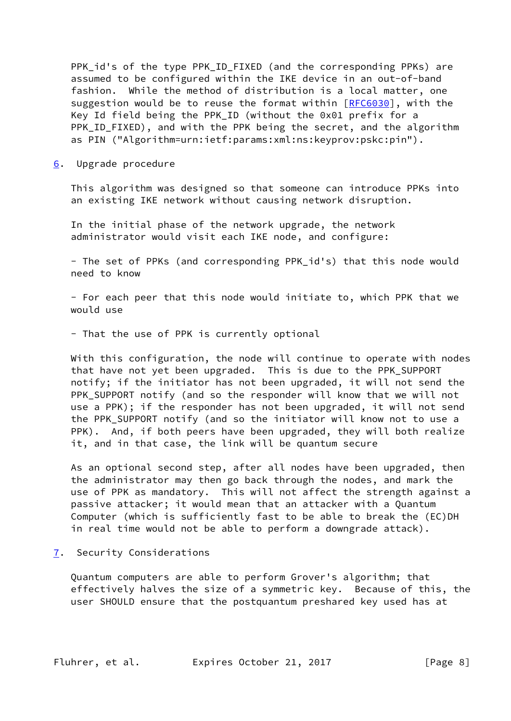PPK\_id's of the type PPK\_ID\_FIXED (and the corresponding PPKs) are assumed to be configured within the IKE device in an out-of-band fashion. While the method of distribution is a local matter, one suggestion would be to reuse the format within [\[RFC6030](https://datatracker.ietf.org/doc/pdf/rfc6030)], with the Key Id field being the PPK\_ID (without the 0x01 prefix for a PPK ID FIXED), and with the PPK being the secret, and the algorithm as PIN ("Algorithm=urn:ietf:params:xml:ns:keyprov:pskc:pin").

<span id="page-8-0"></span>[6](#page-8-0). Upgrade procedure

 This algorithm was designed so that someone can introduce PPKs into an existing IKE network without causing network disruption.

 In the initial phase of the network upgrade, the network administrator would visit each IKE node, and configure:

 - The set of PPKs (and corresponding PPK\_id's) that this node would need to know

 - For each peer that this node would initiate to, which PPK that we would use

- That the use of PPK is currently optional

 With this configuration, the node will continue to operate with nodes that have not yet been upgraded. This is due to the PPK\_SUPPORT notify; if the initiator has not been upgraded, it will not send the PPK\_SUPPORT notify (and so the responder will know that we will not use a PPK); if the responder has not been upgraded, it will not send the PPK\_SUPPORT notify (and so the initiator will know not to use a PPK). And, if both peers have been upgraded, they will both realize it, and in that case, the link will be quantum secure

 As an optional second step, after all nodes have been upgraded, then the administrator may then go back through the nodes, and mark the use of PPK as mandatory. This will not affect the strength against a passive attacker; it would mean that an attacker with a Quantum Computer (which is sufficiently fast to be able to break the (EC)DH in real time would not be able to perform a downgrade attack).

<span id="page-8-1"></span>[7](#page-8-1). Security Considerations

 Quantum computers are able to perform Grover's algorithm; that effectively halves the size of a symmetric key. Because of this, the user SHOULD ensure that the postquantum preshared key used has at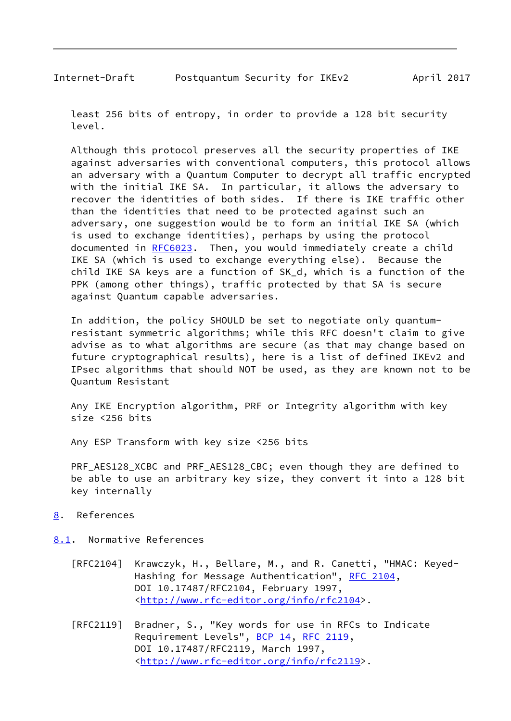<span id="page-9-1"></span> least 256 bits of entropy, in order to provide a 128 bit security level.

 Although this protocol preserves all the security properties of IKE against adversaries with conventional computers, this protocol allows an adversary with a Quantum Computer to decrypt all traffic encrypted with the initial IKE SA. In particular, it allows the adversary to recover the identities of both sides. If there is IKE traffic other than the identities that need to be protected against such an adversary, one suggestion would be to form an initial IKE SA (which is used to exchange identities), perhaps by using the protocol documented in [RFC6023](https://datatracker.ietf.org/doc/pdf/rfc6023). Then, you would immediately create a child IKE SA (which is used to exchange everything else). Because the child IKE SA keys are a function of SK\_d, which is a function of the PPK (among other things), traffic protected by that SA is secure against Quantum capable adversaries.

 In addition, the policy SHOULD be set to negotiate only quantum resistant symmetric algorithms; while this RFC doesn't claim to give advise as to what algorithms are secure (as that may change based on future cryptographical results), here is a list of defined IKEv2 and IPsec algorithms that should NOT be used, as they are known not to be Quantum Resistant

 Any IKE Encryption algorithm, PRF or Integrity algorithm with key size <256 bits

Any ESP Transform with key size <256 bits

 PRF\_AES128\_XCBC and PRF\_AES128\_CBC; even though they are defined to be able to use an arbitrary key size, they convert it into a 128 bit key internally

- <span id="page-9-0"></span>[8](#page-9-0). References
- <span id="page-9-2"></span>[8.1](#page-9-2). Normative References
	- [RFC2104] Krawczyk, H., Bellare, M., and R. Canetti, "HMAC: Keyed- Hashing for Message Authentication", [RFC 2104](https://datatracker.ietf.org/doc/pdf/rfc2104), DOI 10.17487/RFC2104, February 1997, <<http://www.rfc-editor.org/info/rfc2104>>.
	- [RFC2119] Bradner, S., "Key words for use in RFCs to Indicate Requirement Levels", [BCP 14](https://datatracker.ietf.org/doc/pdf/bcp14), [RFC 2119](https://datatracker.ietf.org/doc/pdf/rfc2119), DOI 10.17487/RFC2119, March 1997, <<http://www.rfc-editor.org/info/rfc2119>>.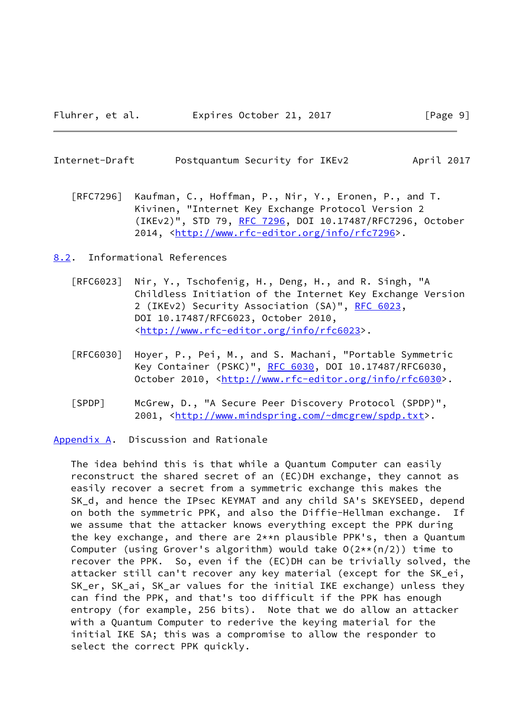<span id="page-10-1"></span>

| Internet-Draft | Postquantum Security for IKEv2 |  | April 2017 |  |
|----------------|--------------------------------|--|------------|--|
|                |                                |  |            |  |

 [RFC7296] Kaufman, C., Hoffman, P., Nir, Y., Eronen, P., and T. Kivinen, "Internet Key Exchange Protocol Version 2 (IKEv2)", STD 79, [RFC 7296](https://datatracker.ietf.org/doc/pdf/rfc7296), DOI 10.17487/RFC7296, October 2014, [<http://www.rfc-editor.org/info/rfc7296](http://www.rfc-editor.org/info/rfc7296)>.

<span id="page-10-0"></span>[8.2](#page-10-0). Informational References

- [RFC6023] Nir, Y., Tschofenig, H., Deng, H., and R. Singh, "A Childless Initiation of the Internet Key Exchange Version 2 (IKEv2) Security Association (SA)", [RFC 6023](https://datatracker.ietf.org/doc/pdf/rfc6023), DOI 10.17487/RFC6023, October 2010, <<http://www.rfc-editor.org/info/rfc6023>>.
- [RFC6030] Hoyer, P., Pei, M., and S. Machani, "Portable Symmetric Key Container (PSKC)", [RFC 6030](https://datatracker.ietf.org/doc/pdf/rfc6030), DOI 10.17487/RFC6030, October 2010, [<http://www.rfc-editor.org/info/rfc6030](http://www.rfc-editor.org/info/rfc6030)>.
- [SPDP] McGrew, D., "A Secure Peer Discovery Protocol (SPDP)", 2001, [<http://www.mindspring.com/~dmcgrew/spdp.txt](http://www.mindspring.com/~dmcgrew/spdp.txt)>.

<span id="page-10-2"></span>[Appendix A.](#page-10-2) Discussion and Rationale

 The idea behind this is that while a Quantum Computer can easily reconstruct the shared secret of an (EC)DH exchange, they cannot as easily recover a secret from a symmetric exchange this makes the SK\_d, and hence the IPsec KEYMAT and any child SA's SKEYSEED, depend on both the symmetric PPK, and also the Diffie-Hellman exchange. If we assume that the attacker knows everything except the PPK during the key exchange, and there are 2\*\*n plausible PPK's, then a Quantum Computer (using Grover's algorithm) would take  $O(2**\frac{n}{2})$  time to recover the PPK. So, even if the (EC)DH can be trivially solved, the attacker still can't recover any key material (except for the SK\_ei, SK\_er, SK\_ai, SK\_ar values for the initial IKE exchange) unless they can find the PPK, and that's too difficult if the PPK has enough entropy (for example, 256 bits). Note that we do allow an attacker with a Quantum Computer to rederive the keying material for the initial IKE SA; this was a compromise to allow the responder to select the correct PPK quickly.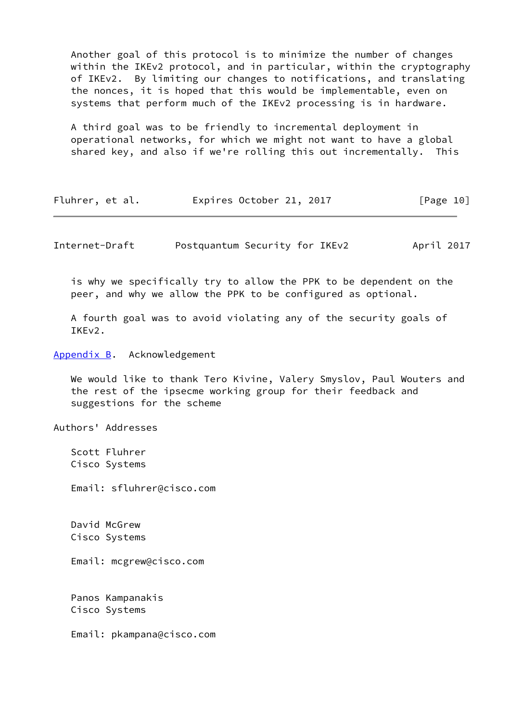Another goal of this protocol is to minimize the number of changes within the IKEv2 protocol, and in particular, within the cryptography of IKEv2. By limiting our changes to notifications, and translating the nonces, it is hoped that this would be implementable, even on systems that perform much of the IKEv2 processing is in hardware.

 A third goal was to be friendly to incremental deployment in operational networks, for which we might not want to have a global shared key, and also if we're rolling this out incrementally. This

| Fluhrer, et al. |  | Expires October 21, 2017 |  |  | [Page 10] |  |
|-----------------|--|--------------------------|--|--|-----------|--|
|-----------------|--|--------------------------|--|--|-----------|--|

<span id="page-11-1"></span>Internet-Draft Postquantum Security for IKEv2 April 2017

 is why we specifically try to allow the PPK to be dependent on the peer, and why we allow the PPK to be configured as optional.

 A fourth goal was to avoid violating any of the security goals of TKF<sub>V2</sub>.

<span id="page-11-0"></span>[Appendix B.](#page-11-0) Acknowledgement

 We would like to thank Tero Kivine, Valery Smyslov, Paul Wouters and the rest of the ipsecme working group for their feedback and suggestions for the scheme

Authors' Addresses

 Scott Fluhrer Cisco Systems

Email: sfluhrer@cisco.com

 David McGrew Cisco Systems

Email: mcgrew@cisco.com

 Panos Kampanakis Cisco Systems

Email: pkampana@cisco.com